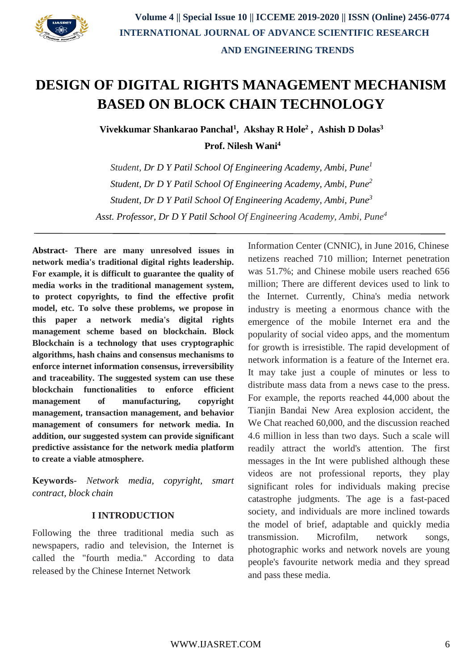

# **DESIGN OF DIGITAL RIGHTS MANAGEMENT MECHANISM BASED ON BLOCK CHAIN TECHNOLOGY**

**Vivekkumar Shankarao Panchal<sup>1</sup> , Akshay R Hole<sup>2</sup> , Ashish D Dolas<sup>3</sup>**

**Prof. Nilesh Wani<sup>4</sup>**

*Student, Dr D Y Patil School Of Engineering Academy, Ambi, Pune<sup>1</sup> Student, Dr D Y Patil School Of Engineering Academy, Ambi, Pune<sup>2</sup> Student, Dr D Y Patil School Of Engineering Academy, Ambi, Pune<sup>3</sup> Asst. Professor, Dr D Y Patil School Of Engineering Academy, Ambi, Pune<sup>4</sup>*

**Abstract- There are many unresolved issues in network media's traditional digital rights leadership. For example, it is difficult to guarantee the quality of media works in the traditional management system, to protect copyrights, to find the effective profit model, etc. To solve these problems, we propose in this paper a network media's digital rights management scheme based on blockchain. Block Blockchain is a technology that uses cryptographic algorithms, hash chains and consensus mechanisms to enforce internet information consensus, irreversibility and traceability. The suggested system can use these blockchain functionalities to enforce efficient management of manufacturing, copyright management, transaction management, and behavior management of consumers for network media. In addition, our suggested system can provide significant predictive assistance for the network media platform to create a viable atmosphere.**

**Keywords**- *Network media, copyright, smart contract, block chain*

### **I INTRODUCTION**

Following the three traditional media such as newspapers, radio and television, the Internet is called the "fourth media." According to data released by the Chinese Internet Network

Information Center (CNNIC), in June 2016, Chinese netizens reached 710 million; Internet penetration was 51.7%; and Chinese mobile users reached 656 million; There are different devices used to link to the Internet. Currently, China's media network industry is meeting a enormous chance with the emergence of the mobile Internet era and the popularity of social video apps, and the momentum for growth is irresistible. The rapid development of network information is a feature of the Internet era. It may take just a couple of minutes or less to distribute mass data from a news case to the press. For example, the reports reached 44,000 about the Tianjin Bandai New Area explosion accident, the We Chat reached 60,000, and the discussion reached 4.6 million in less than two days. Such a scale will readily attract the world's attention. The first messages in the Int were published although these videos are not professional reports, they play significant roles for individuals making precise catastrophe judgments. The age is a fast-paced society, and individuals are more inclined towards the model of brief, adaptable and quickly media transmission. Microfilm, network songs, photographic works and network novels are young people's favourite network media and they spread and pass these media.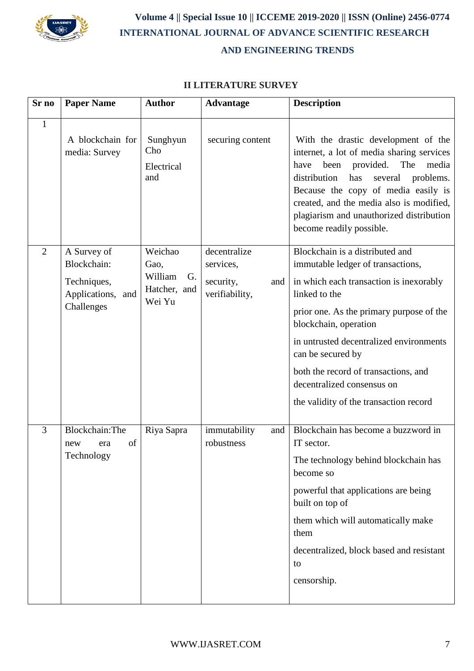

 **Volume 4 || Special Issue 10 || ICCEME 2019-2020 || ISSN (Online) 2456-0774 INTERNATIONAL JOURNAL OF ADVANCE SCIENTIFIC RESEARCH AND ENGINEERING TRENDS**

# **II LITERATURE SURVEY**

| Sr no          | <b>Paper Name</b>                                                            | <b>Author</b>                                              | <b>Advantage</b>                                                | <b>Description</b>                                                                                                                                                                                                                                                                                                                                                                    |
|----------------|------------------------------------------------------------------------------|------------------------------------------------------------|-----------------------------------------------------------------|---------------------------------------------------------------------------------------------------------------------------------------------------------------------------------------------------------------------------------------------------------------------------------------------------------------------------------------------------------------------------------------|
| $\mathbf{1}$   | A blockchain for<br>media: Survey                                            | Sunghyun<br>Cho<br>Electrical<br>and                       | securing content                                                | With the drastic development of the<br>internet, a lot of media sharing services<br>provided.<br>The<br>been<br>media<br>have<br>distribution<br>has<br>several<br>problems.<br>Because the copy of media easily is<br>created, and the media also is modified,<br>plagiarism and unauthorized distribution<br>become readily possible.                                               |
| $\overline{2}$ | A Survey of<br>Blockchain:<br>Techniques,<br>Applications, and<br>Challenges | Weichao<br>Gao,<br>William<br>G.<br>Hatcher, and<br>Wei Yu | decentralize<br>services,<br>security,<br>and<br>verifiability, | Blockchain is a distributed and<br>immutable ledger of transactions,<br>in which each transaction is inexorably<br>linked to the<br>prior one. As the primary purpose of the<br>blockchain, operation<br>in untrusted decentralized environments<br>can be secured by<br>both the record of transactions, and<br>decentralized consensus on<br>the validity of the transaction record |
| 3              | Blockchain: The<br>of<br>new<br>era<br>Technology                            | Riya Sapra                                                 | immutability<br>and<br>robustness                               | Blockchain has become a buzzword in<br>IT sector.<br>The technology behind blockchain has<br>become so<br>powerful that applications are being<br>built on top of<br>them which will automatically make<br>them<br>decentralized, block based and resistant<br>to<br>censorship.                                                                                                      |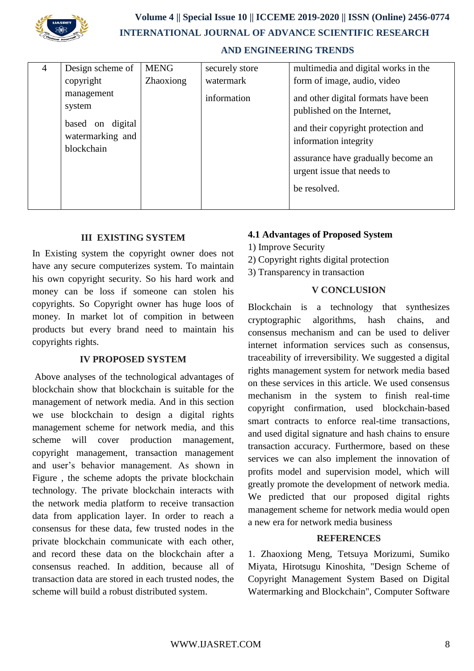

# **Volume 4 || Special Issue 10 || ICCEME 2019-2020 || ISSN (Online) 2456-0774 INTERNATIONAL JOURNAL OF ADVANCE SCIENTIFIC RESEARCH AND ENGINEERING TRENDS**

| 4 | Design scheme of                                                           | <b>MENG</b> | securely store | multimedia and digital works in the                                                                                                                                                                                  |
|---|----------------------------------------------------------------------------|-------------|----------------|----------------------------------------------------------------------------------------------------------------------------------------------------------------------------------------------------------------------|
|   | copyright                                                                  | Zhaoxiong   | watermark      | form of image, audio, video                                                                                                                                                                                          |
|   | management<br>system<br>based on digital<br>watermarking and<br>blockchain |             | information    | and other digital formats have been<br>published on the Internet,<br>and their copyright protection and<br>information integrity<br>assurance have gradually become an<br>urgent issue that needs to<br>be resolved. |

# **III EXISTING SYSTEM**

In Existing system the copyright owner does not have any secure computerizes system. To maintain his own copyright security. So his hard work and money can be loss if someone can stolen his copyrights. So Copyright owner has huge loos of money. In market lot of compition in between products but every brand need to maintain his copyrights rights.

#### **IV PROPOSED SYSTEM**

Above analyses of the technological advantages of blockchain show that blockchain is suitable for the management of network media. And in this section we use blockchain to design a digital rights management scheme for network media, and this scheme will cover production management, copyright management, transaction management and user's behavior management. As shown in Figure , the scheme adopts the private blockchain technology. The private blockchain interacts with the network media platform to receive transaction data from application layer. In order to reach a consensus for these data, few trusted nodes in the private blockchain communicate with each other, and record these data on the blockchain after a consensus reached. In addition, because all of transaction data are stored in each trusted nodes, the scheme will build a robust distributed system.

# **4.1 Advantages of Proposed System**

- 1) Improve Security
- 2) Copyright rights digital protection
- 3) Transparency in transaction

# **V CONCLUSION**

Blockchain is a technology that synthesizes cryptographic algorithms, hash chains, and consensus mechanism and can be used to deliver internet information services such as consensus, traceability of irreversibility. We suggested a digital rights management system for network media based on these services in this article. We used consensus mechanism in the system to finish real-time copyright confirmation, used blockchain-based smart contracts to enforce real-time transactions, and used digital signature and hash chains to ensure transaction accuracy. Furthermore, based on these services we can also implement the innovation of profits model and supervision model, which will greatly promote the development of network media. We predicted that our proposed digital rights management scheme for network media would open a new era for network media business

### **REFERENCES**

1. Zhaoxiong Meng, Tetsuya Morizumi, Sumiko Miyata, Hirotsugu Kinoshita, "Design Scheme of Copyright Management System Based on Digital Watermarking and Blockchain", Computer Software